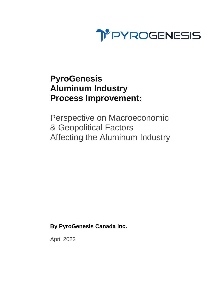

# **PyroGenesis Aluminum Industry Process Improvement:**

Perspective on Macroeconomic & Geopolitical Factors Affecting the Aluminum Industry

**By PyroGenesis Canada Inc.**

April 2022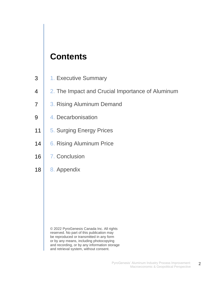# **Contents**

- 2. The Impact and Crucial Importance of Aluminum 4
- <span id="page-1-0"></span>3. Rising Aluminum Demand 7
- 4. Decarbonisation 9
- 5. Surging Energy Prices 11
- 6. Rising Aluminum Price 14
- 7. Conclusion 16
- 8. Appendix 18

© 2022 PyroGenesis Canada Inc. All rights reserved. No part of this publication may be reproduced or transmitted in any form or by any means, including photocopying and recording, or by any information storage and retrieval system, without consent.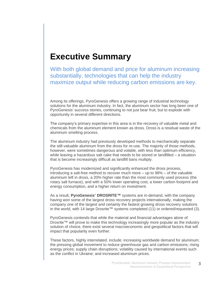### **Executive Summary**

With both global demand and price for aluminum increasing substantially, technologies that can help the industry maximize output while reducing carbon emissions are key.

Among its offerings, PyroGenesis offers a growing range of industrial technology solutions for the aluminum industry. In fact, the aluminum sector has long been one of PyroGenesis' success stories, continuing to not just bear fruit, but to explode with opportunity in several different directions.

The company's primary expertise in this area is in the recovery of valuable metal and chemicals from the aluminum element known as dross. Dross is a residual waste of the aluminum smelting process.

The aluminum industry had previously developed methods to mechanically separate the still-valuable aluminum from the dross for re-use. The majority of those methods, however, were sometimes dangerous and volatile, with less than optimum efficiency, while leaving a hazardous salt cake that needs to be stored or landfilled – a situation that is become increasingly difficult as landfill bans multiply.

PyroGenesis has modernized and significantly enhanced the dross process, introducing a salt-free method to recover much more – up to 98% – of the valuable aluminum left in dross, a 20% higher rate than the most commonly used process (the rotary salt furnace), and with a 50% lower operating cost, a lower carbon footprint and energy consumption, and a higher return on investment.

As a result, **PyroGenesis' DROSRITE™** systems are in-demand, with the company having won some of the largest dross recovery projects internationally, making the company one of the largest and certainly the fastest growing dross recovery solutions in the world, with 14 large Drosrite™ systems completed (11) or ordered/requested (3).

PyroGenesis contends that while the material and financial advantages alone of Drosrite™ will prove to make this technology increasingly more popular as the industry solution of choice, there exist several macroeconomic and geopolitical factors that will impact that popularity even further.

These factors, highly interrelated, include: increasing worldwide demand for aluminum; the pressing global movement to reduce greenhouse gas and carbon emissions; rising energy prices; supply chain disruptions; volatility caused by international events such as the conflict in Ukraine; and increased aluminum prices.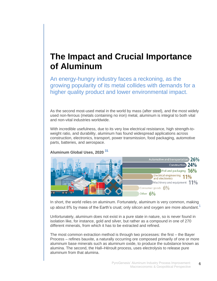# **The Impact and Crucial Importance of Aluminum**

An energy-hungry industry faces a reckoning, as the growing popularity of its metal collides with demands for a higher quality product and lower environmental impact.

As the second most-used metal in the world by mass (after steel), and the most widely used non-ferrous (metals containing no iron) metal, aluminum is integral to both vital and non-vital industries worldwide.

With incredible usefulness, due to its very low electrical resistance, high strength-toweight ratio, and durability, aluminum has found widespread applications across construction, electronics, transport, power transmission, food packaging, automotive parts, batteries, and aerospace.



#### **Aluminum Global Uses, 2020 [31](#page-19-0)**

In short, the world relies on aluminum. Fortunately, aluminum is very common, making up about 8% by mass of the Earth's crust; only silicon and oxygen are more abundant.<sup>[1](#page-17-0)</sup>

Unfortunately, aluminum does not exist in a pure state in nature, so is never found in isolation like, for instance, gold and silver, but rather as a compound in one of 270 different minerals, from which it has to be extracted and refined.

The most common extraction method is through two processes: the first – the Bayer Process – refines bauxite, a naturally occurring ore composed primarily of one or more aluminum base minerals such as aluminum oxide, to produce the substance known as alumina. The second, the Hall–Héroult process, uses electrolysis to release pure aluminum from that alumina.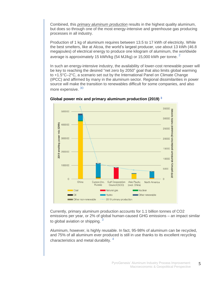Combined, this *primary aluminum production* results in the highest quality aluminum, but does so through one of the most energy-intensive and greenhouse gas producing processes in all industry.

Production of 1 kg of aluminum requires between 13.5 to 17 kWh of electricity. While the best smelters, like at Alcoa, the world's largest producer, use about 13 kWh (46.8 megajoules) of electrical energy to produce one kilogram of aluminum, the worldwide average is approximately 15 kWh/kg (54 MJ/kg) or 15,000 kWh per tonne.  $^2$  $^2$ 

In such an energy-intensive industry, the availability of lower-cost renewable power will be key to reaching the desired "net zero by 2050" goal that also limits global warming to +1.5°C–2°C, a scenario set out by the International Panel on Climate Change (IPCC) and affirmed by many in the aluminum sector. Regional dissimilarities in power source will make the transition to renewables difficult for some companies, and also more expensive. [30](#page-19-1)



#### **Global power mix and primary aluminum production (2019) [3](#page-1-0)**

Currently, primary aluminum production accounts for 1.1 billion tonnes of CO2 emissions per year, or 2% of global human-caused GHG emissions – an impact similar to global aviation or shipping.  $3$ 

Aluminum, however, is highly reusable. In fact, 95-98% of aluminum can be recycled, and 75% of all aluminum ever produced is still in use thanks to its excellent recycling characteristics and metal durability. [4](#page-17-3)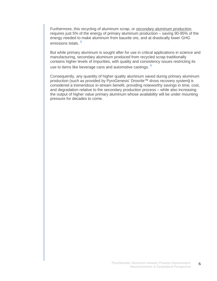Furthermore, this recycling of aluminum scrap, or *secondary aluminum production*, requires just 5% of the energy of primary aluminum production – saving 90-95% of the energy needed to make aluminum from bauxite ore, and at drastically lower GHG emissions totals.<sup>[5](#page-17-4)</sup>

But while primary aluminum is sought after for use in critical applications in science and manufacturing, secondary aluminum produced from recycled scrap traditionally contains higher levels of impurities, with quality and consistency issues restricting its use to items like beverage cans and automotive castings. [6](#page-17-5)

Consequently, any quantity of higher quality aluminum saved during primary aluminum production (such as provided by PyroGenesis' Drosrite™ dross recovery system**)** is considered a tremendous in-stream benefit, providing noteworthy savings in time, cost, and degradation relative to the secondary production process – while also increasing the output of higher value primary aluminum whose availability will be under mounting pressure for decades to come.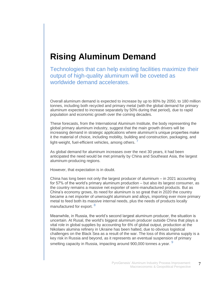# **Rising Aluminum Demand**

Technologies that can help existing facilities maximize their output of high-quality aluminum will be coveted as worldwide demand accelerates.

Overall aluminum demand is expected to increase by up to 80% by 2050, to 180 million tonnes, including both recycled and primary metal (with the global demand for primary aluminum expected to increase separately by 50% during that period), due to rapid population and economic growth over the coming decades.

These forecasts, from the International Aluminum Institute, the body representing the global primary aluminum industry, suggest that the main growth drivers will be increasing demand in strategic applications where aluminum's unique properties make it the material of choice, including mobility, building and construction, packaging, and light-weight, fuel-efficient vehicles, among others.  $^7$  $^7$ 

As global demand for aluminum increases over the next 30 years, it had been anticipated the need would be met primarily by China and Southeast Asia, the largest aluminum-producing regions.

However, that expectation is in doubt.

China has long been not only the largest producer of aluminum – in 2021 accounting for 57% of the world's primary aluminum production – but also its largest consumer, as the country remains a massive net exporter of semi-manufactured products. But as China's economy grows, its need for aluminum is so great that in 2020 the country became a net *importer* of unwrought aluminum and alloys, importing ever more primary metal to feed both its massive internal needs, plus the needs of products locally manufactured for export.<sup>[8](#page-17-7)</sup>

Meanwhile, in Russia, the world's second largest aluminum producer, the situation is uncertain. At Rusal, the world's biggest aluminum producer outside China that plays a vital role in global supplies by accounting for 6% of global output, production at the Nikolaev alumina refinery in Ukraine has been halted, due to obvious logistical challenges on the Black Sea as a result of the war. The loss of this alumina supply is a key risk in Russia and beyond, as it represents an eventual suspension of primary smelting capacity in Russia, impacting around [9](#page-17-8)00,000 tonnes a year. <sup>9</sup>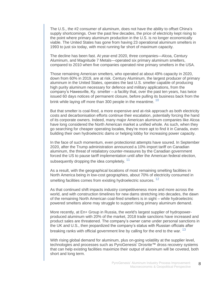The U.S., the #2 consumer of aluminum, does not have the ability to offset China's supply shortcomings. Over the past few decades, the price of electricity kept rising to the point where primary aluminum production in the U.S. is no longer economically viable. The United States has gone from having 23 operational aluminum smelters in 1993 to just six today, with most running far short of maximum capacity.

The decline has been fast. At year-end 2020, three companies—Alcoa, Century Aluminum, and Magnitude 7 Metals—operated six primary aluminum smelters, compared to 2010 when five companies operated nine primary smelters in the USA.

Those remaining American smelters, who operated at about 49% capacity in 2020, down from 60% in 2019, are at risk. Century Aluminum, the largest producer of primary aluminum in the United States, operates the last U.S. smelter capable of producing high purity aluminum necessary for defence and military applications, from the company's Hawesville, Ky. smelter – a facility that, over the past ten years, has twice issued 60 days notices of permanent closure, before pulling its business back from the brink while laying off more than 300 people in the meantime. <sup>[10](#page-17-9)</sup>

But that smelter is coal-fired, a more expensive and at-risk approach as both electricity costs and decarbonisation efforts continue their escalation, potentially forcing the hand of its corporate owners. Indeed, many major American aluminum companies like Alcoa have long considered the North American market a unified whole. As such, when they go searching for cheaper operating locales, they're more apt to find it in Canada, even building their own hydroelectric dams or helping lobby for increasing power capacity.

In the face of such momentum, even protectionist attempts have soured. In September 2020, after the Trump administration announced a 10% import tariff on Canadian aluminum, the threat of retaliatory counter-measures by the Canadian government forced the US to pause tariff implementation until after the American federal election, subsequently dropping the idea completely. <sup>[11](#page-18-0)</sup>

As a result, with the geographical locations of most remaining smelting facilities in North America being in low-cost geographies, about 70% of electricity consumed in smelting facilities comes from existing hydroelectric sources.<sup>[12](#page-18-1)</sup>

As that continued shift impacts industry competitiveness more and more across the world, and with construction timelines for new dams stretching into decades, the dawn of the remaining North American coal-fired smelters is in sight – while hydroelectric powered smelters alone may struggle to support rising primary aluminum demand.

More recently, at En+ Group in Russia, the world's largest supplier of hydropowerproduced aluminum with 20% of the market, 2018 trade sanctions have increased and product sales are threatened. The company's owner came under personal sanctions in the UK and U.S., then jeopardized the company's status with Russian officials after breaking ranks with official government line by calling for the end to the war.  $^{13}$  $^{13}$  $^{13}$ 

With rising global demand for aluminum, plus on-going volatility at the supplier level, technologies and processes such as PyroGenesis' Drosrite™ dross recovery systems that can help existing facilities maximize their output of aluminum will be coveted, both short and long term.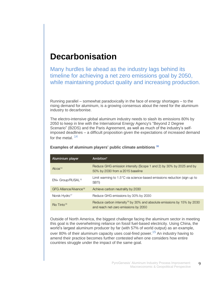## **Decarbonisation**

Many hurdles lie ahead as the industry lags behind its timeline for achieving a net zero emissions goal by 2050, while maintaining product quality and increasing production.

Running parallel – somewhat paradoxically in the face of energy shortages – to the rising demand for aluminum, is a growing consensus about the need for the aluminum industry to decarbonise.

The electro-intensive global aluminum industry needs to slash its emissions 80% by 2050 to keep in line with the International Energy Agency's "Beyond 2 Degree Scenario" (B2DS) and the Paris Agreement, as well as much of the industry's selfimposed deadlines – a difficult proposition given the expectations of increased demand for the metal.  $14$ 

| Aluminium player                   | Ambition*                                                                                                                  |
|------------------------------------|----------------------------------------------------------------------------------------------------------------------------|
| Alco $a^{14}$                      | Reduce GHG emission intensity (Scope 1 and 2) by 30% by 2025 and by<br>50% by 2030 from a 2015 baseline                    |
| EN+ Group/RUSAL <sup>15</sup>      | Limit warming to 1.5°C via science-based emissions reduction (sign up to<br>SBTi)                                          |
| GFG Alliance/Alvance <sup>16</sup> | Achieve carbon neutrality by 2030                                                                                          |
| Norsk Hydro <sup>17</sup>          | Reduce GHG emissions by 30% by 2030                                                                                        |
| $R$ io Tinto <sup>18</sup>         | Reduce carbon intensity <sup>19</sup> by 30% and absolute emissions by 15% by 2030<br>and reach net-zero emissions by 2050 |

#### **Examples of aluminum players' public climate ambitions [30](#page-19-1)**

Outside of North America, the biggest challenge facing the aluminum sector in meeting this goal is the overwhelming reliance on fossil fuel-based electricity. Using China, the world's largest aluminum producer by far (with 57% of world output) as an example, over 80% of their aluminum capacity uses coal-fired power.<sup>[15](#page-18-4)</sup> An industry having to amend their practice becomes further contested when one considers how entire countries struggle under the impact of the same goal.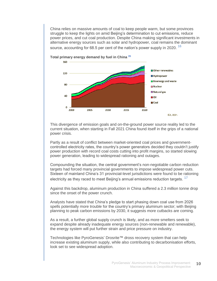China relies on massive amounts of coal to keep people warm, but some provinces struggle to keep the lights on amid Beijing's determination to cut emissions, reduce power prices, and cut coal production. Despite China making significant investments in alternative energy sources such as solar and hydropower, coal remains the dominant source, accounting for 68.5 per cent of the nation's power supply in 2020.  $^{16}$  $^{16}$  $^{16}$ 



**Total primary energy demand by fuel in China [35](#page-19-2)**

This divergence of emission goals and on-the-ground power source reality led to the current situation, when starting in Fall 2021 China found itself in the grips of a national power crisis.

Partly as a result of conflict between market-oriented coal prices and governmentcontrolled electricity rates, the country's power generators decided they couldn't justify power production with record coal costs cutting into profit margins, so started slowing power generation, leading to widespread rationing and outages.

Compounding the situation, the central government's non-negotiable carbon reduction targets had forced many provincial governments to impose widespread power cuts. Sixteen of mainland China's 31 provincial-level jurisdictions were found to be rationing electricity as they raced to meet Beijing's annual emissions reduction targets. <sup>[17](#page-18-6)</sup>

Against this backdrop, aluminum production in China suffered a 2.3 million tonne drop since the onset of the power crunch.

Analysts have stated that China's pledge to start phasing down coal use from 2026 spells potentially more trouble for the country's primary aluminum sector; with Beijing planning to peak carbon emissions by 2030, it suggests more cutbacks are coming.

As a result, a further global supply crunch is likely, and as more smelters seek to expand despite already inadequate energy sources (non-renewable and renewable), the energy system will put further strain and price pressure on industry.

Technologies like PyroGenesis' Drosrite™ dross recovery system that can help increase existing aluminum supply, while also contributing to decarbonisation efforts, look set to see widespread adoption.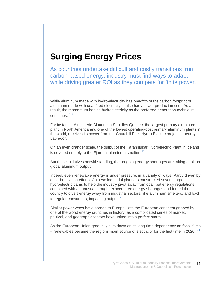# **Surging Energy Prices**

As countries undertake difficult and costly transitions from carbon-based energy, industry must find ways to adapt while driving greater ROI as they compete for finite power.

While aluminum made with hydro-electricity has one-fifth of the carbon footprint of aluminum made with coal-fired electricity, it also has a lower production cost. As a result, the momentum behind hydroelectricity as the preferred generation technique continues. <sup>[18](#page-18-7)</sup>

For instance, Aluminerie Alouette in Sept Îles Quebec, the largest primary aluminum plant in North America and one of the lowest operating-cost primary aluminum plants in the world, receives its power from the [Churchill Falls](https://en.wikipedia.org/wiki/Churchill_Falls) Hydro Electric project in nearby Labrador.

On an even grander scale, the output of the Kárahnjúkar Hydroelectric Plant in Iceland is devoted entirely to the Fiardaál aluminum smelter.  $19$ 

But these initiatives notwithstanding, the on-going energy shortages are taking a toll on global aluminum output.

Indeed, even renewable energy is under pressure, in a variety of ways. Partly driven by decarbonisation efforts, Chinese industrial planners constructed several large hydroelectric dams to help the industry pivot away from coal, but energy regulations combined with an unusual drought exacerbated energy shortages and forced the country to divert energy away from industrial sectors, like aluminum smelters, and back to regular consumers, impacting output.  $^{20}$  $^{20}$  $^{20}$ 

Similar power woes have spread to Europe, with the European continent gripped by one of the worst energy crunches in history, as a complicated series of market, political, and geographic factors have united into a perfect storm.

As the European Union gradually cuts down on its long-time dependency on fossil fuels – renewables became the regions main source of electricity for the first time in 2020.  $^{21}$  $^{21}$  $^{21}$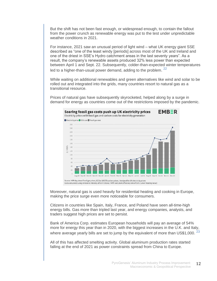But the shift has not been fast enough, or widespread enough, to contain the fallout from the power crunch as renewable energy was put to the test under unpredictable weather conditions in 2021.

For instance, 2021 saw an unusual period of light wind – what UK energy giant SSE described as "one of the least windy [periods] across most of the UK and Ireland and one of the driest in SSE's Hydro catchment areas in the last seventy years". As a result, the company's renewable assets produced 32% less power than expected between April 1 and Sept. 22. Subsequently, colder-than-expected winter temperatures led to a higher-than-usual power demand, adding to the problem.  $^{22}$  $^{22}$  $^{22}$ 

While waiting on additional renewables and green alternatives like wind and solar to be rolled out and integrated into the grids, many countries resort to natural gas as a transitional resource.

Prices of natural gas have subsequently skyrocketed, helped along by a surge in demand for energy as countries come out of the restrictions imposed by the pandemic.



Moreover, natural gas is used heavily for residential heating and cooking in Europe, making the price surge even more noticeable for consumers.

Citizens in countries like Spain, Italy, France, and Poland have seen all-time-high energy bills. Gas more than tripled last year, and energy companies, analysts, and traders suggest high prices are set to persist.

Bank of America Corp. estimates European households will pay an average of 54% more for energy this year than in 2020, with the biggest increases in the U.K. and Italy, where average yearly bills are set to jump by the equivalent of more than US\$1,000.  $^{23}$  $^{23}$  $^{23}$ 

All of this has affected smelting activity. Global aluminum production rates started falling at the end of 2021 as power constraints spread from China to Europe.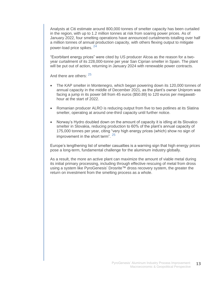Analysts at Citi estimate around 800,000 tonnes of smelter capacity has been curtailed in the region, with up to 1.2 million tonnes at risk from soaring power prices. As of January 2022, four smelting operations have announced curtailments totalling over half a million tonnes of annual production capacity, with others flexing output to mitigate power-load price spikes. [24](#page-19-3)

"Exorbitant energy prices" were [cited](https://investors.alcoa.com/news-releases/news-release-details/2021/Alcoa-Reaches-Agreement-on-Future-of-San-CiprinSmelter/default.aspx) by US producer Alcoa as the reason for a twoyear curtailment of its 228,000-tonne per year San Ciprian smelter in Spain. The plant will be put out of action, returning in January 2024 with renewable power contracts.

And there are others:  $25$ 

- The KAP smelter in Montenegro, which began powering down its 120,000 tonnes of annual capacity in the middle of December 2021, as the plant's owner Uniprom was facing a jump in its power bill from 45 euros (\$50.89) to 120 euros per megawatthour at the start of 2022.
- Romanian producer ALRO is reducing output from five to two potlines at its Slatina smelter, operating at around one-third capacity until further notice.
- Norway's Hydro doubled down on the amount of capacity it is idling at its Slovalco smelter in Slovakia, reducing production to 60% of the plant's annual capacity of 175,000 tonnes per year, citing "very high energy prices (which) show no sign of improvement in the short term". <sup>[25](#page-19-4)</sup>

Europe's lengthening list of smelter casualties is a warning sign that high energy prices pose a long-term, fundamental challenge for the aluminum industry globally.

As a result, the more an active plant can maximize the amount of viable metal during its initial primary processing, including through effective rescuing of metal from dross using a system like PyroGenesis' Drosrite™ dross recovery system, the greater the return on investment from the smelting process as a whole.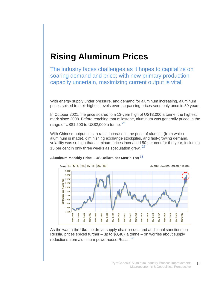# **Rising Aluminum Prices**

The industry faces challenges as it hopes to capitalize on soaring demand and price; with new primary production capacity uncertain, maximizing current output is vital.

With energy supply under pressure, and demand for aluminum increasing, aluminum prices spiked to their highest levels ever, surpassing prices seen only once in 30 years.

In October 2021, the price soared to a 13-year high of US\$3,000 a tonne, the highest mark since 2008. Before reaching that milestone, aluminum was generally priced in the range of US\$1,500 to US\$2,000 a tonne. [26](#page-19-5)

With Chinese output cuts, a rapid increase in the price of alumina (from which aluminum is made), diminishing exchange stockpiles, and fast-growing demand, volatility was so high that aluminum prices increased 50 per cent for the year, including 15 per cent in only three weeks as speculation grew.  $27$ 



#### **Aluminum Monthly Price – US Dollars per Metric Ton [36](#page-19-7)**

As the war in the Ukraine drove supply chain issues and additional sanctions on Russia, prices spiked further – up to \$3,487 a tonne – on worries about supply reductions from aluminum powerhouse Rusal. <sup>[28](#page-19-8)</sup>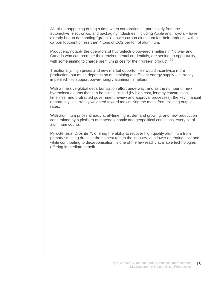All this is happening during a time when corporations – particularly from the automotive, electronics, and packaging industries, including Apple and Toyota – have already begun demanding "green" or lower carbon aluminum for their products, with a carbon footprint of less than 4 tons of CO2 per ton of aluminum.

Producers, notably the operators of hydroelectric-powered smelters in Norway and Canada who can promote their environmental credentials, are seeing an opportunity, with some aiming to charge premium prices for their "green" product.  $29$ 

Traditionally, high prices and new market opportunities would incentivize more production, but much depends on maintaining a sufficient energy supply – currently imperilled – to support power-hungry aluminum smelters.

With a massive global decarbonisation effort underway, and as the number of new hydroelectric dams that can be built is limited (by high cost, lengthy construction timelines, and protracted government review and approval processes), the key financial opportunity is currently weighted toward maximizing the metal from existing output rates.

With aluminum prices already at all-time highs, demand growing, and new production constrained by a plethora of macroeconomic and geopolitical conditions, every bit of aluminum counts.

PyroGenesis' Drosrite™, offering the ability to recover high quality aluminum from primary smelting dross at the highest rate in the industry, at a lower operating cost and while contributing to decarbonisation, is one of the few readily available technologies offering immediate benefit.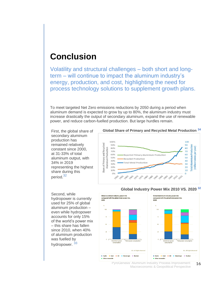### **Conclusion**

Volatility and structural challenges – both short and longterm – will continue to impact the aluminum industry's energy, production, and cost, highlighting the need for process technology solutions to supplement growth plans.

To meet targeted Net Zero emissions reductions by 2050 during a period when aluminum demand is expected to grow by up to 80%, the aluminum industry must increase drastically the output of secondary aluminum, expand the use of renewable power, and reduce carbon-fuelled production. But large hurdles remain.

First, the global share of secondary aluminum production has remained relatively constant since 2000, at 31-33% of total aluminum output, with 34% in 2019 representing the highest share during this period. [32](#page-19-11)





Second, while hydropower is currently used for 25% of global aluminum production – even while hydropower accounts for only 15% of the world's power mix – this share has fallen since 2010, when 40% of aluminum production was fuelled by hydropower. [33](#page-19-12)





PyroGenesis' Aluminum Industry Process Improvement: Macroeconomic & Geopolitical Perspective 16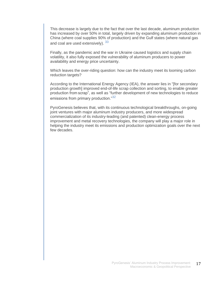This decrease is largely due to the fact that over the last decade, aluminum production has increased by over 50% in total, largely driven by expanding aluminum production in China (where coal supplies 90% of production) and the Gulf states (where natural gas and coal are used extensively). [33](#page-19-12)

Finally, as the pandemic and the war in Ukraine caused logistics and supply chain volatility, it also fully exposed the vulnerability of aluminum producers to power availability and energy price uncertainty.

Which leaves the over-riding question: how can the industry meet its looming carbon reduction targets?

According to the International Energy Agency (IEA), the answer lies in "[for secondary production growth] improved end-of-life scrap collection and sorting, to enable greater production from scrap", as well as "further development of new technologies to reduce emissions from primary production."<sup>[32](#page-19-11)</sup>

PyroGenesis believes that, with its continuous technological breakthroughs, on-going joint ventures with major aluminum industry producers, and more widespread commercialization of its industry-leading (and patented) clean-energy process improvement and metal recovery technologies, the company will play a major role in helping the industry meet its emissions and production optimization goals over the next few decades.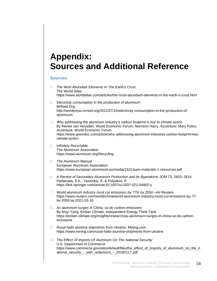# **Appendix: Sources and Additional Reference**

#### **Sources**

<span id="page-17-4"></span><span id="page-17-3"></span><span id="page-17-2"></span><span id="page-17-1"></span><span id="page-17-0"></span>*1. The Most Abundant Elements In The Earth's Crust* The World Atlas https://www.worldatlas.com/articles/the-most-abundant-elements-in-the-earth-s-crust.html *2. Electricity consumption in the production of aluminum* MrReid.Org http://wordpress.mrreid.org/2011/07/15/electricity-consumption-in-the-production-ofaluminium *3. Why addressing the aluminum industry's carbon footprint is key to climate action* By Renee van Heusden, World Economic Forum; Morrison Harry, Accenture; Mary Puleo, Accenture; World Economic Forum https://www.greenbiz.com/article/why-addressing-aluminum-industrys-carbon-footprint-keyclimate-action 4. Infinitely Recyclable The Aluminum Association https://www.aluminum.org/Recycling *5. The Aluminum Manual*  European Aluminum Association https://www.european-aluminium.eu/media/1531/aam-materials-1-resources.pdf *6. A Review of Secondary Aluminum Production and Its Byproducts* JOM 73, 2603–2614 Padamata, S.K., Yasinskiy, A. & Polyakov, P https://link.springer.com/article/10.1007/s11837-021-04802-y *7. World aluminum industry must cut emissions by 77% by 2050 –IAI* Reuters https://www.reuters.com/world/china/world-aluminium-industry-must-cut-emissions-by-77 by-2050-iai-2021-03-16 *8. As aluminum surges in China, so do carbon emissions* By Muyi Yang, Ember Climate, Independent Energy Think Tank https://ember-climate.org/insights/research/as-aluminium-surges-in-china-so-do-carbonemissions *9. Rusal halts alumina shipments from Ukraine,* Mining.com https://www.mining.com/rusal-halts-alumina-shipments-from-ukraine *10. The Effect Of Imports Of Aluminum On The National Security* U.S. Department of Commerce

<span id="page-17-9"></span><span id="page-17-8"></span><span id="page-17-7"></span><span id="page-17-6"></span><span id="page-17-5"></span>https://www.commerce.gov/sites/default/files/the\_effect\_of\_imports\_of\_aluminum\_on\_the\_n ational security - with redactions - 20180117.pdf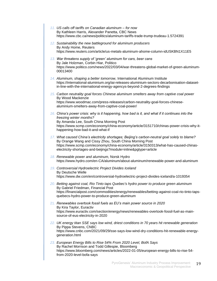<span id="page-18-12"></span><span id="page-18-11"></span><span id="page-18-10"></span><span id="page-18-9"></span><span id="page-18-8"></span><span id="page-18-7"></span><span id="page-18-6"></span><span id="page-18-5"></span><span id="page-18-4"></span><span id="page-18-3"></span><span id="page-18-2"></span><span id="page-18-1"></span><span id="page-18-0"></span>

| 11. US calls off tariffs on Canadian aluminum – for now<br>By Kathleen Harris, Alexander Panetta, CBC News<br>https://www.cbc.ca/news/politics/aluminum-tariffs-trade-trump-trudeau-1.5724391                                                                                                                     |
|-------------------------------------------------------------------------------------------------------------------------------------------------------------------------------------------------------------------------------------------------------------------------------------------------------------------|
| 12. Sustainability the new battleground for aluminum producers<br>By Andy Home, Reuters<br>https://www.reuters.com/article/us-metals-aluminum-ahome-column-idUSKBN1X11E5                                                                                                                                          |
| 13. War threatens supply of 'green' aluminum for cars, beer cans<br>By Jale Holzman, Corbin Hiar, Politico<br>https://www.politico.com/news/2022/03/04/war-threatens-global-market-of-green-aluminum-<br>00013400                                                                                                 |
| 14. Aluminum, shaping a better tomorrow, International Aluminum Institute<br>https://international-aluminium.org/iai-releases-aluminium-sectors-decarbonisation-dataset-<br>in-line-with-the-international-energy-agencys-beyond-2-degrees-findings                                                               |
| 15. Carbon neutrality goal forces Chinese aluminum smelters away from captive coal power<br>By Wood Mackenzie<br>https://www.woodmac.com/press-releases/carbon-neutrality-goal-forces-chinese-<br>aluminium-smelters-away-from-captive-coal-power/                                                                |
| 16. China's power crisis: why is it happening, how bad is it, and what if it continues into the<br>freezing winter months?<br>By Amanda Lee, South China Morning Post<br>https://www.scmp.com/economy/china-economy/article/3151710/chinas-power-crisis-why-it-<br>happening-how-bad-it-and-what-if               |
| 17. What caused China's electricity shortages; Beijing's carbon-neutral goal solely to blame?<br>By Orange Wang and Cissy Zhou, South China Morning Post<br>https://www.scmp.com/economy/china-economy/article/3150313/what-has-caused-chinas-<br>electricity-shortages-and-beijings?module=inline&pgtype=article |
| 18. Renewable power and aluminum, Norsk Hydro<br>https://www.hydro.com/en-CA/aluminum/about-aluminum/renewable-power-and-aluminum                                                                                                                                                                                 |
| 19. Controversial Hydroelectric Project Divides Iceland<br>By Deutsche Welle<br>https://www.dw.com/en/controversial-hydroelectric-project-divides-iceland/a-1019354                                                                                                                                               |
| 20. Betting against coal, Rio Tinto taps Quebec's hydro power to produce green aluminum<br>By Gabriel Friedman, Financial Post<br>https://financialpost.com/commodities/energy/renewables/betting-against-coal-rio-tinto-taps-<br>quebecs-hydro-power-to-produce-green-aluminum                                   |
| 21. Renewables overtook fossil fuels as EU's main power source in 2020<br>By Kira Taylor, Euractiv<br>https://www.euractiv.com/section/energy/news/renewables-overtook-fossil-fuel-as-main-<br>source-of-eus-electricity-in-2020                                                                                  |
| 22. UK energy titan SSE says low wind, driest conditions in 70 years hit renewable generation<br>By Pippa Stevens, CNBC<br>https://www.cnbc.com/2021/09/29/sse-says-low-wind-dry-conditions-hit-renewable-energy-<br>generation.html                                                                              |
| 23. European Energy Bills to Rise 54% From 2020 Level, BofA Says<br>By Rachel Morrison and Todd Gillespie, Bloomberg<br>https://www.bloomberg.com/news/articles/2022-01-05/european-energy-bills-to-rise-54-<br>from-2020-level-bofa-says                                                                         |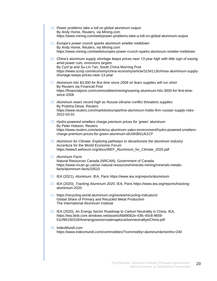<span id="page-19-12"></span><span id="page-19-11"></span><span id="page-19-10"></span><span id="page-19-9"></span><span id="page-19-8"></span><span id="page-19-7"></span><span id="page-19-6"></span><span id="page-19-5"></span><span id="page-19-4"></span><span id="page-19-3"></span><span id="page-19-2"></span><span id="page-19-1"></span><span id="page-19-0"></span>

|  | 24. Power problems take a toll on global aluminum output<br>By Andy Home, Reuters, via Mining.com<br>https://www.mining.com/web/power-problems-take-a-toll-on-global-aluminum-output                                                                                                |
|--|-------------------------------------------------------------------------------------------------------------------------------------------------------------------------------------------------------------------------------------------------------------------------------------|
|  | 25. Europe's power crunch sparks aluminum smelter meltdown                                                                                                                                                                                                                          |
|  | By Andy Home, Reuters, via Mining.com                                                                                                                                                                                                                                               |
|  | https://www.mining.com/web/europes-power-crunch-sparks-aluminum-smelter-meltdown                                                                                                                                                                                                    |
|  | 26. China's aluminum supply shortage keeps prices near 13-year high with little sign of easing<br>amid power cuts, emissions targets<br>By Cyril Ip and Su-Lin Tan, South China Morning Post<br>https://www.scmp.com/economy/china-economy/article/3154113/chinas-aluminium-supply- |
|  | shortage-keeps-prices-near-13-year                                                                                                                                                                                                                                                  |
|  | 27. Aluminum hits \$3,000 for first time since 2008 on fears supplies will run short<br>By Reuters via Financial Post                                                                                                                                                               |
|  | https://financialpost.com/commodities/mining/soaring-aluminum-hits-3000-for-first-time-<br>since-2008                                                                                                                                                                               |
|  | 28. Aluminum nears record high as Russia-Ukraine conflict threatens supplies                                                                                                                                                                                                        |
|  | By Pratima Desai, Reuters<br>https://www.reuters.com/markets/europe/lme-aluminium-holds-firm-russian-supply-risks-<br>2022-03-01                                                                                                                                                    |
|  | 29. Hydro-powered smelters charge premium prices for 'green' aluminum                                                                                                                                                                                                               |
|  | By Peter Hobson, Reuters                                                                                                                                                                                                                                                            |
|  | https://www.reuters.com/article/us-aluminum-sales-environment/hydro-powered-smelters-<br>charge-premium-prices-for-green-aluminum-idUSKBN1AI1CF                                                                                                                                     |
|  | 30. Aluminum for Climate: Exploring pathways to decarbonize the aluminum industry<br>Accenture for the World Economic Forum<br>https://www3.weforum.org/docs/WEF_Aluminium_for_Climate_2020.pdf                                                                                     |
|  | 31. Aluminum Facts                                                                                                                                                                                                                                                                  |
|  | Natural Resources Canada (NRCAN), Government of Canada<br>https://www.nrcan.gc.ca/our-natural-resources/minerals-mining/minerals-metals-<br>facts/aluminum-facts/20510                                                                                                              |
|  | 32. IEA (2021), Aluminum, IEA, Paris https://www.iea.org/reports/aluminium                                                                                                                                                                                                          |
|  | 33. IEA (2020), Tracking Aluminum 2020, IEA, Paris https://www.iea.org/reports/tracking-<br>aluminium-2020                                                                                                                                                                          |
|  | 34. https://recycling.world-aluminium.org/review/recycling-indicators/<br>Global Share of Primary and Recycled Metal Production<br>The International Aluminum Institute                                                                                                             |
|  | 35. IEA (2020), An Energy Sector Roadmap to Carbon Neutrality in China, IEA,                                                                                                                                                                                                        |
|  | https://iea.blob.core.windows.net/assets/6689062e-43fc-40c8-9659-<br>01cf96150318/AnenergysectorroadmaptocarbonneutralityinChina.pdf                                                                                                                                                |
|  | 36. IndexMundi.com<br>https://www.indexmundi.com/commodities/?commodity=aluminum&months=240                                                                                                                                                                                         |
|  |                                                                                                                                                                                                                                                                                     |
|  |                                                                                                                                                                                                                                                                                     |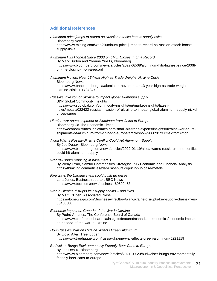#### **Additional References**

#### *Aluminum price jumps to record as Russian attacks boosts supply risks* Bloomberg News https://www.mining.com/web/aluminum-price-jumps-to-record-as-russian-attack-boostssupply-risks *Aluminum Hits Highest Since 2008 on LME, Closes in on a Record* By Mark Burton and Yvonne Yue Li, Bloomberg https://www.bloomberg.com/news/articles/2022-02-08/aluminum-hits-highest-since-2008 on-lme-closing-in-on-a-record *Aluminum Hovers Near 13-Year High as Trade Weighs Ukraine Crisis* Bloomberg News https://www.bnnbloomberg.ca/aluminum-hovers-near-13-year-high-as-trade-weighsukraine-crisis-1.1724047 *Russia's invasion of Ukraine to impact global aluminum supply* S&P Global Commodity Insights https://www.spglobal.com/commodity-insights/en/market-insights/latestnews/metals/022422-russias-invasion-of-ukraine-to-impact-global-aluminum-supply-nickelprices-surge *Ukraine war spurs shipment of Aluminum from China to Europe* Bloomberg via The Economic Times https://economictimes.indiatimes.com/small-biz/trade/exports/insights/ukraine-war-spursshipments-of-aluminum-from-china-to-europe/articleshow/90009073.cms?from=mdr *Alcoa Warns Russia-Ukraine Conflict Could Hit Aluminum Supply* By Joe Deaux, Bloomberg News https://www.bloomberg.com/news/articles/2022-01-19/alcoa-warns-russia-ukraine-conflictcould-hit-aluminum-supply *War risk spurs repricing in base metals* By Wenyu Yao, Semior Commodities Strategist, ING Economic and Financial Analysis https://think.ing.com/articles/war-risk-spurs-repricing-in-base-metals *Five ways the Ukraine crisis could push up prices* Lora Jones, Business reporter, BBC News

*War in Ukraine disrupts key supply chains – and lives* By Matt O'Brien, Associated Press https://abcnews.go.com/Business/wireStory/war-ukraine-disrupts-key-supply-chains-lives-83450680

https://www.bbc.com/news/business-60509453

*Economic Impact on Canada of the War in Ukraine* By Pedro Antunes, The Conference Board of Canada https://www.conferenceboard.ca/insights/featured/canadian-economics/economic-impacton-canada-of-the-war-in-ukraine

*How Russia's War on Ukraine 'Affects Green Aluminum'*  By Lloyd Alter, Treehugger https://www.treehugger.com/russia-ukraine-war-affects-green-aluminum-5221119

*Budweiser Brings Environmentally Friendly Beer Cans to Europe* By Joe Deaux, Bloomberg https://www.bloomberg.com/news/articles/2021-09-20/budweiser-brings-environmentallyfriendly-beer-cans-to-europe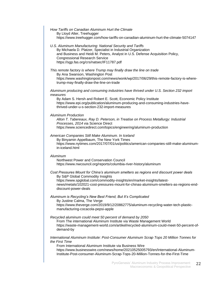| How Tariffs on Canadian Aluminum Hurt the Climate<br>By Lloyd Alter, Treehugger<br>https://www.treehugger.com/how-tariffs-on-canadian-aluminum-hurt-the-climate-5074147 |
|-------------------------------------------------------------------------------------------------------------------------------------------------------------------------|
| U.S. Aluminum Manufacturing: National Security and Tariffs<br>By Michaela D. Platzer, Specialist in Industrial Organization                                             |

and Business and Heidi M. Peters, Analyst in U.S. Defense Acquisition Policy, Congressional Research Service https://sgp.fas.org/crs/natsec/IF11787.pdf

*This remote factory is where Trump may finally draw the line on trade* By Ana Swanson, Washington Post https://www.washingtonpost.com/news/wonk/wp/2017/06/29/this-remote-factory-is-wheretrump-may-finally-draw-the-line-on-trade

*Aluminum producing and consuming industries have thrived under U.S. Section 232 import measures*

By Adam S. Hersh and Robert E. Scott, Economic Policy Institute https://www.epi.org/publication/aluminum-producing-and-consuming-industries-havethrived-under-u-s-section-232-import-measures

*Aluminum Production*

*Alton T. Tabereaux, Ray D. Peterson, in Treatise on Process Metallurgy: Industrial Processes, 2014* via Science Direct https://www.sciencedirect.com/topics/engineering/aluminum-production

*American Companies Still Make Aluminum. In Iceland* By Binyamin Appelbaum, The New York Times https://www.nytimes.com/2017/07/01/us/politics/american-companies-still-make-aluminumin-iceland.html

*Aluminum*

Northwest Power and Conservation Council https://www.nwcouncil.org/reports/columbia-river-history/aluminum

#### *Cost Pressures Mount for China's aluminum smelters as regions end discount power deals* By S&P Global Commodity Insights

https://www.spglobal.com/commodity-insights/en/market-insights/latestnews/metals/102021-cost-pressures-mount-for-chinas-aluminum-smelters-as-regions-enddiscount-power-deals

#### *Aluminum is Recycling's New Best Friend, But It's Complicated*

By Justine Calma, The Verge https://www.theverge.com/2019/9/12/20862775/aluminum-recycling-water-tech-plasticmanufacturing-cocacola-pepsi-apple

#### *Recycled aluminum could meet 50 percent of demand by 2050*

From The international Aluminum Institute via Waste Management World https://waste-management-world.com/artikel/recycled-aluminum-could-meet-50-percent-ofdemand-by

*International Aluminum Institute: Post-Consumer Aluminum Scrap Tops 20 Million Tonnes for the First Time*

From International Aluminum Institute via Business Wire https://www.businesswire.com/news/home/20210525005793/en/International-Aluminum-Institute-Post-consumer-Aluminum-Scrap-Tops-20-Million-Tonnes-for-the-First-Time